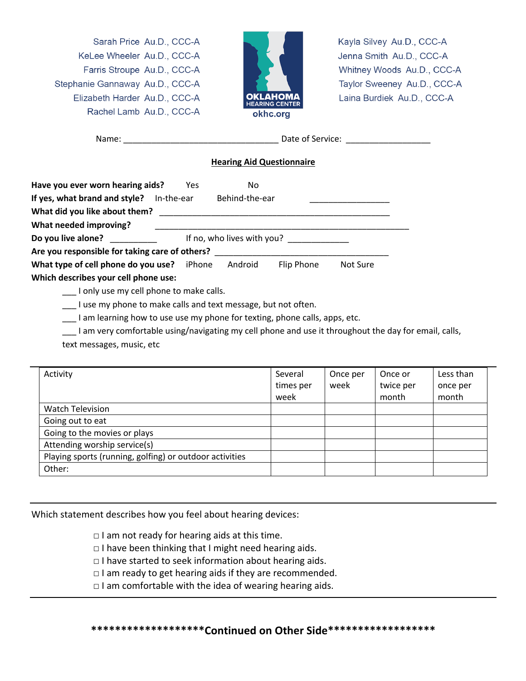Sarah Price Au.D., CCC-A KeLee Wheeler Au.D., CCC-A Farris Stroupe Au.D., CCC-A Stephanie Gannaway Au.D., CCC-A Elizabeth Harder Au.D., CCC-A Rachel Lamb Au.D., CCC-A



Kayla Silvey Au.D., CCC-A Jenna Smith Au.D., CCC-A Whitney Woods Au.D., CCC-A Taylor Sweeney Au.D., CCC-A Laina Burdiek Au.D., CCC-A

| Name: |  |
|-------|--|
|       |  |

Name: \_\_\_\_\_\_\_\_\_\_\_\_\_\_\_\_\_\_\_\_\_\_\_\_\_\_\_\_\_\_\_\_\_ Date of Service: \_\_\_\_\_\_\_\_\_\_\_\_\_\_\_\_\_\_

## **Hearing Aid Questionnaire**

| Have you ever worn hearing aids?                 | Yes                          | No      |            |          |  |
|--------------------------------------------------|------------------------------|---------|------------|----------|--|
| If yes, what brand and style?                    | Behind-the-ear<br>In-the-ear |         |            |          |  |
| What did you like about them?                    |                              |         |            |          |  |
| What needed improving?                           |                              |         |            |          |  |
| Do you live alone?<br>If no, who lives with you? |                              |         |            |          |  |
| Are you responsible for taking care of others?   |                              |         |            |          |  |
| What type of cell phone do you use?              | iPhone                       | Android | Flip Phone | Not Sure |  |
| Which describes your cell phone use:             |                              |         |            |          |  |

\_\_\_ I only use my cell phone to make calls.

\_\_\_ I use my phone to make calls and text message, but not often.

I am learning how to use use my phone for texting, phone calls, apps, etc.

\_\_\_ I am very comfortable using/navigating my cell phone and use it throughout the day for email, calls,

text messages, music, etc

| Activity                                                | Several<br>times per<br>week | Once per<br>week | Once or<br>twice per<br>month | Less than<br>once per<br>month |
|---------------------------------------------------------|------------------------------|------------------|-------------------------------|--------------------------------|
| <b>Watch Television</b>                                 |                              |                  |                               |                                |
| Going out to eat                                        |                              |                  |                               |                                |
| Going to the movies or plays                            |                              |                  |                               |                                |
| Attending worship service(s)                            |                              |                  |                               |                                |
| Playing sports (running, golfing) or outdoor activities |                              |                  |                               |                                |
| Other:                                                  |                              |                  |                               |                                |

Which statement describes how you feel about hearing devices:

 $\Box$  I am not ready for hearing aids at this time.

□ I have been thinking that I might need hearing aids.

□ I have started to seek information about hearing aids.

 $\Box$  I am ready to get hearing aids if they are recommended.

 $\Box$  I am comfortable with the idea of wearing hearing aids.